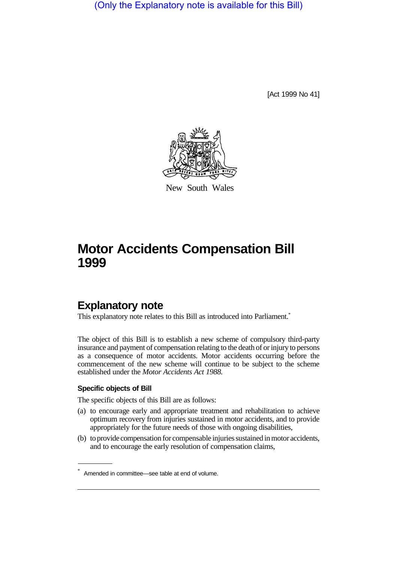(Only the Explanatory note is available for this Bill)

[Act 1999 No 41]



New South Wales

# **Motor Accidents Compensation Bill 1999**

### **Explanatory note**

This explanatory note relates to this Bill as introduced into Parliament.<sup>\*</sup>

The object of this Bill is to establish a new scheme of compulsory third-party insurance and payment of compensation relating to the death of or injury to persons as a consequence of motor accidents. Motor accidents occurring before the commencement of the new scheme will continue to be subject to the scheme established under the *Motor Accidents Act 1988.*

#### **Specific objects of Bill**

The specific objects of this Bill are as follows:

- (a) to encourage early and appropriate treatment and rehabilitation to achieve optimum recovery from injuries sustained in motor accidents, and to provide appropriately for the future needs of those with ongoing disabilities,
- (b) to provide compensation for compensable injuries sustained in motor accidents, and to encourage the early resolution of compensation claims,

<sup>\*</sup> Amended in committee—see table at end of volume.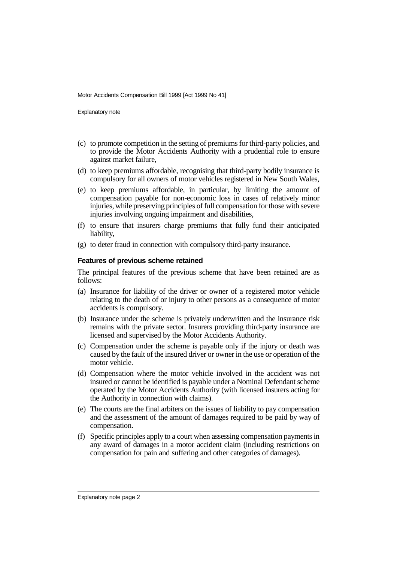Explanatory note

- (c) to promote competition in the setting of premiums for third-party policies, and to provide the Motor Accidents Authority with a prudential role to ensure against market failure,
- (d) to keep premiums affordable, recognising that third-party bodily insurance is compulsory for all owners of motor vehicles registered in New South Wales,
- (e) to keep premiums affordable, in particular, by limiting the amount of compensation payable for non-economic loss in cases of relatively minor injuries, while preserving principles of full compensation for those with severe injuries involving ongoing impairment and disabilities,
- (f) to ensure that insurers charge premiums that fully fund their anticipated liability,
- (g) to deter fraud in connection with compulsory third-party insurance.

#### **Features of previous scheme retained**

The principal features of the previous scheme that have been retained are as follows:

- (a) Insurance for liability of the driver or owner of a registered motor vehicle relating to the death of or injury to other persons as a consequence of motor accidents is compulsory.
- (b) Insurance under the scheme is privately underwritten and the insurance risk remains with the private sector. Insurers providing third-party insurance are licensed and supervised by the Motor Accidents Authority.
- (c) Compensation under the scheme is payable only if the injury or death was caused by the fault of the insured driver or owner in the use or operation of the motor vehicle.
- (d) Compensation where the motor vehicle involved in the accident was not insured or cannot be identified is payable under a Nominal Defendant scheme operated by the Motor Accidents Authority (with licensed insurers acting for the Authority in connection with claims).
- (e) The courts are the final arbiters on the issues of liability to pay compensation and the assessment of the amount of damages required to be paid by way of compensation.
- (f) Specific principles apply to a court when assessing compensation payments in any award of damages in a motor accident claim (including restrictions on compensation for pain and suffering and other categories of damages).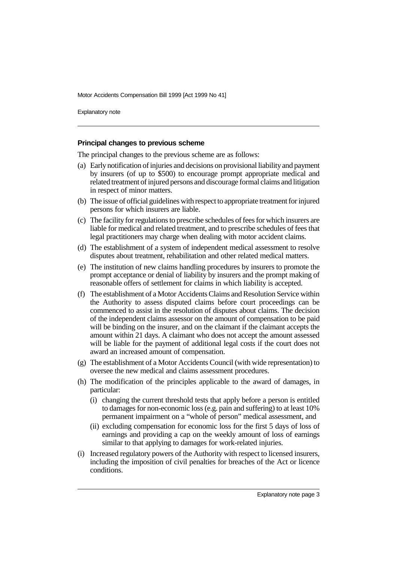Explanatory note

#### **Principal changes to previous scheme**

The principal changes to the previous scheme are as follows:

- (a) Early notification of injuries and decisions on provisional liability and payment by insurers (of up to \$500) to encourage prompt appropriate medical and related treatment of injured persons and discourage formal claims and litigation in respect of minor matters.
- (b) The issue of official guidelines with respect to appropriate treatment for injured persons for which insurers are liable.
- (c) The facility for regulations to prescribe schedules of fees for which insurers are liable for medical and related treatment, and to prescribe schedules of fees that legal practitioners may charge when dealing with motor accident claims.
- (d) The establishment of a system of independent medical assessment to resolve disputes about treatment, rehabilitation and other related medical matters.
- (e) The institution of new claims handling procedures by insurers to promote the prompt acceptance or denial of liability by insurers and the prompt making of reasonable offers of settlement for claims in which liability is accepted.
- (f) The establishment of a Motor Accidents Claims and Resolution Service within the Authority to assess disputed claims before court proceedings can be commenced to assist in the resolution of disputes about claims. The decision of the independent claims assessor on the amount of compensation to be paid will be binding on the insurer, and on the claimant if the claimant accepts the amount within 21 days. A claimant who does not accept the amount assessed will be liable for the payment of additional legal costs if the court does not award an increased amount of compensation.
- (g) The establishment of a Motor Accidents Council (with wide representation) to oversee the new medical and claims assessment procedures.
- (h) The modification of the principles applicable to the award of damages, in particular:
	- (i) changing the current threshold tests that apply before a person is entitled to damages for non-economic loss (e.g. pain and suffering) to at least 10% permanent impairment on a "whole of person" medical assessment, and
	- (ii) excluding compensation for economic loss for the first 5 days of loss of earnings and providing a cap on the weekly amount of loss of earnings similar to that applying to damages for work-related injuries.
- (i) Increased regulatory powers of the Authority with respect to licensed insurers, including the imposition of civil penalties for breaches of the Act or licence conditions.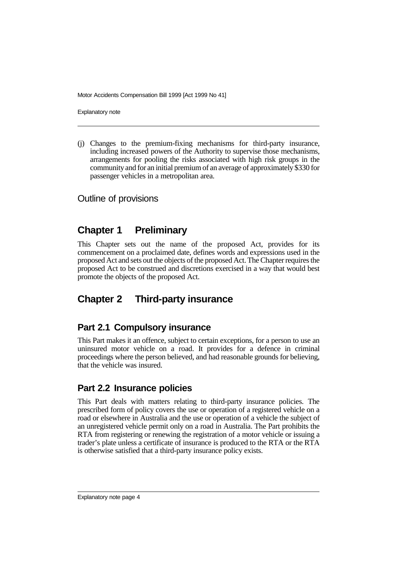Explanatory note

(j) Changes to the premium-fixing mechanisms for third-party insurance, including increased powers of the Authority to supervise those mechanisms, arrangements for pooling the risks associated with high risk groups in the community and for an initial premium of an average of approximately \$330 for passenger vehicles in a metropolitan area.

Outline of provisions

## **Chapter 1 Preliminary**

This Chapter sets out the name of the proposed Act, provides for its commencement on a proclaimed date, defines words and expressions used in the proposed Act and sets out the objects of the proposed Act. The Chapter requires the proposed Act to be construed and discretions exercised in a way that would best promote the objects of the proposed Act.

# **Chapter 2 Third-party insurance**

### **Part 2.1 Compulsory insurance**

This Part makes it an offence, subject to certain exceptions, for a person to use an uninsured motor vehicle on a road. It provides for a defence in criminal proceedings where the person believed, and had reasonable grounds for believing, that the vehicle was insured.

### **Part 2.2 Insurance policies**

This Part deals with matters relating to third-party insurance policies. The prescribed form of policy covers the use or operation of a registered vehicle on a road or elsewhere in Australia and the use or operation of a vehicle the subject of an unregistered vehicle permit only on a road in Australia. The Part prohibits the RTA from registering or renewing the registration of a motor vehicle or issuing a trader's plate unless a certificate of insurance is produced to the RTA or the RTA is otherwise satisfied that a third-party insurance policy exists.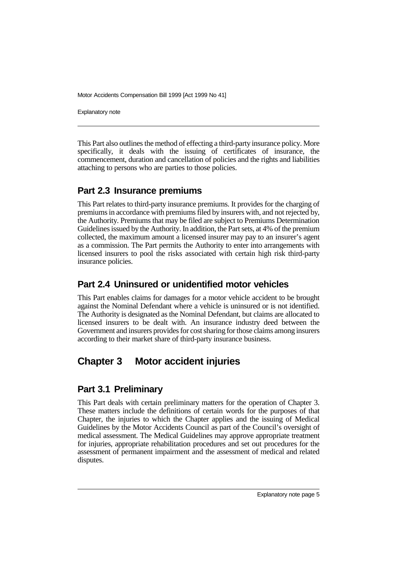Explanatory note

This Part also outlines the method of effecting a third-party insurance policy. More specifically, it deals with the issuing of certificates of insurance, the commencement, duration and cancellation of policies and the rights and liabilities attaching to persons who are parties to those policies.

#### **Part 2.3 Insurance premiums**

This Part relates to third-party insurance premiums. It provides for the charging of premiums in accordance with premiums filed by insurers with, and not rejected by, the Authority. Premiums that may be filed are subject to Premiums Determination Guidelines issued by the Authority. In addition, the Part sets, at 4% of the premium collected, the maximum amount a licensed insurer may pay to an insurer's agent as a commission. The Part permits the Authority to enter into arrangements with licensed insurers to pool the risks associated with certain high risk third-party insurance policies.

#### **Part 2.4 Uninsured or unidentified motor vehicles**

This Part enables claims for damages for a motor vehicle accident to be brought against the Nominal Defendant where a vehicle is uninsured or is not identified. The Authority is designated as the Nominal Defendant, but claims are allocated to licensed insurers to be dealt with. An insurance industry deed between the Government and insurers provides for cost sharing for those claims among insurers according to their market share of third-party insurance business.

## **Chapter 3 Motor accident injuries**

#### **Part 3.1 Preliminary**

This Part deals with certain preliminary matters for the operation of Chapter 3. These matters include the definitions of certain words for the purposes of that Chapter, the injuries to which the Chapter applies and the issuing of Medical Guidelines by the Motor Accidents Council as part of the Council's oversight of medical assessment. The Medical Guidelines may approve appropriate treatment for injuries, appropriate rehabilitation procedures and set out procedures for the assessment of permanent impairment and the assessment of medical and related disputes.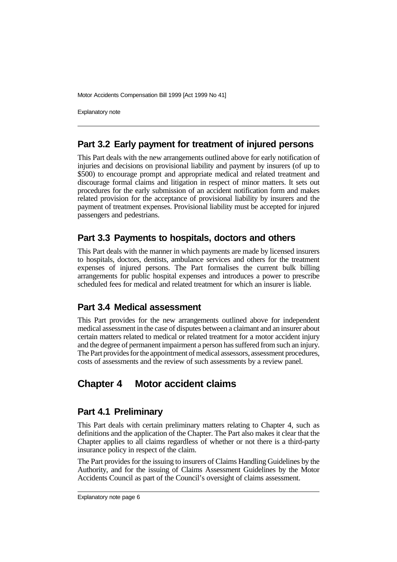Explanatory note

#### **Part 3.2 Early payment for treatment of injured persons**

This Part deals with the new arrangements outlined above for early notification of injuries and decisions on provisional liability and payment by insurers (of up to \$500) to encourage prompt and appropriate medical and related treatment and discourage formal claims and litigation in respect of minor matters. It sets out procedures for the early submission of an accident notification form and makes related provision for the acceptance of provisional liability by insurers and the payment of treatment expenses. Provisional liability must be accepted for injured passengers and pedestrians.

#### **Part 3.3 Payments to hospitals, doctors and others**

This Part deals with the manner in which payments are made by licensed insurers to hospitals, doctors, dentists, ambulance services and others for the treatment expenses of injured persons. The Part formalises the current bulk billing arrangements for public hospital expenses and introduces a power to prescribe scheduled fees for medical and related treatment for which an insurer is liable.

### **Part 3.4 Medical assessment**

This Part provides for the new arrangements outlined above for independent medical assessment in the case of disputes between a claimant and an insurer about certain matters related to medical or related treatment for a motor accident injury and the degree of permanent impairment a person has suffered from such an injury. The Part provides for the appointment of medical assessors, assessment procedures, costs of assessments and the review of such assessments by a review panel.

## **Chapter 4 Motor accident claims**

### **Part 4.1 Preliminary**

This Part deals with certain preliminary matters relating to Chapter 4, such as definitions and the application of the Chapter. The Part also makes it clear that the Chapter applies to all claims regardless of whether or not there is a third-party insurance policy in respect of the claim.

The Part provides for the issuing to insurers of Claims Handling Guidelines by the Authority, and for the issuing of Claims Assessment Guidelines by the Motor Accidents Council as part of the Council's oversight of claims assessment.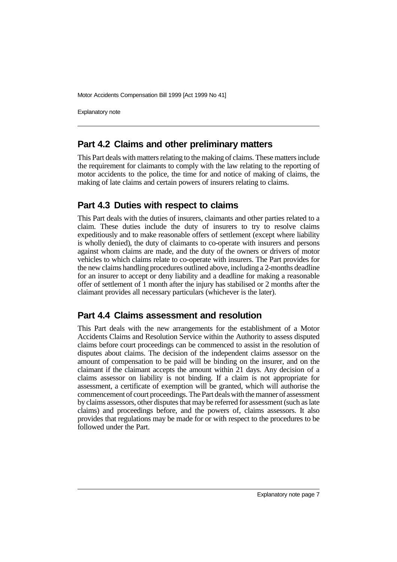Explanatory note

#### **Part 4.2 Claims and other preliminary matters**

This Part deals with matters relating to the making of claims. These matters include the requirement for claimants to comply with the law relating to the reporting of motor accidents to the police, the time for and notice of making of claims, the making of late claims and certain powers of insurers relating to claims.

#### **Part 4.3 Duties with respect to claims**

This Part deals with the duties of insurers, claimants and other parties related to a claim. These duties include the duty of insurers to try to resolve claims expeditiously and to make reasonable offers of settlement (except where liability is wholly denied), the duty of claimants to co-operate with insurers and persons against whom claims are made, and the duty of the owners or drivers of motor vehicles to which claims relate to co-operate with insurers. The Part provides for the new claims handling procedures outlined above, including a 2-months deadline for an insurer to accept or deny liability and a deadline for making a reasonable offer of settlement of 1 month after the injury has stabilised or 2 months after the claimant provides all necessary particulars (whichever is the later).

#### **Part 4.4 Claims assessment and resolution**

This Part deals with the new arrangements for the establishment of a Motor Accidents Claims and Resolution Service within the Authority to assess disputed claims before court proceedings can be commenced to assist in the resolution of disputes about claims. The decision of the independent claims assessor on the amount of compensation to be paid will be binding on the insurer, and on the claimant if the claimant accepts the amount within 21 days. Any decision of a claims assessor on liability is not binding. If a claim is not appropriate for assessment, a certificate of exemption will be granted, which will authorise the commencement of court proceedings. The Part deals with the manner of assessment by claims assessors, other disputes that may be referred for assessment (such as late claims) and proceedings before, and the powers of, claims assessors. It also provides that regulations may be made for or with respect to the procedures to be followed under the Part.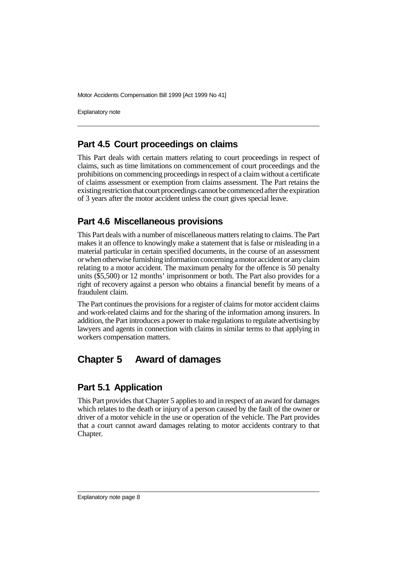Explanatory note

#### **Part 4.5 Court proceedings on claims**

This Part deals with certain matters relating to court proceedings in respect of claims, such as time limitations on commencement of court proceedings and the prohibitions on commencing proceedings in respect of a claim without a certificate of claims assessment or exemption from claims assessment. The Part retains the existing restriction that court proceedings cannot be commenced after the expiration of 3 years after the motor accident unless the court gives special leave.

#### **Part 4.6 Miscellaneous provisions**

This Part deals with a number of miscellaneous matters relating to claims. The Part makes it an offence to knowingly make a statement that is false or misleading in a material particular in certain specified documents, in the course of an assessment or when otherwise furnishing information concerning a motor accident or any claim relating to a motor accident. The maximum penalty for the offence is 50 penalty units (\$5,500) or 12 months' imprisonment or both. The Part also provides for a right of recovery against a person who obtains a financial benefit by means of a fraudulent claim.

The Part continues the provisions for a register of claims for motor accident claims and work-related claims and for the sharing of the information among insurers. In addition, the Part introduces a power to make regulations to regulate advertising by lawyers and agents in connection with claims in similar terms to that applying in workers compensation matters.

## **Chapter 5 Award of damages**

### **Part 5.1 Application**

This Part provides that Chapter 5 applies to and in respect of an award for damages which relates to the death or injury of a person caused by the fault of the owner or driver of a motor vehicle in the use or operation of the vehicle. The Part provides that a court cannot award damages relating to motor accidents contrary to that Chapter.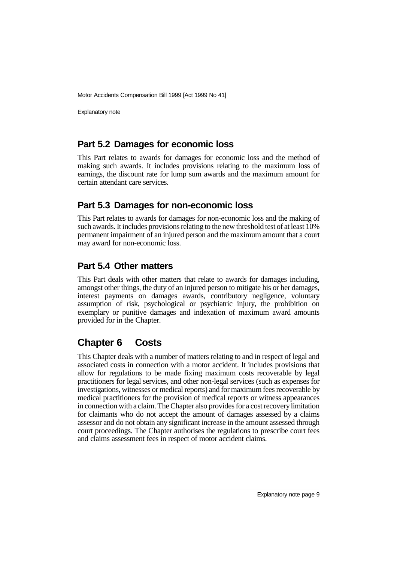Explanatory note

#### **Part 5.2 Damages for economic loss**

This Part relates to awards for damages for economic loss and the method of making such awards. It includes provisions relating to the maximum loss of earnings, the discount rate for lump sum awards and the maximum amount for certain attendant care services.

#### **Part 5.3 Damages for non-economic loss**

This Part relates to awards for damages for non-economic loss and the making of such awards. It includes provisions relating to the new threshold test of at least 10% permanent impairment of an injured person and the maximum amount that a court may award for non-economic loss.

#### **Part 5.4 Other matters**

This Part deals with other matters that relate to awards for damages including, amongst other things, the duty of an injured person to mitigate his or her damages, interest payments on damages awards, contributory negligence, voluntary assumption of risk, psychological or psychiatric injury, the prohibition on exemplary or punitive damages and indexation of maximum award amounts provided for in the Chapter.

## **Chapter 6 Costs**

This Chapter deals with a number of matters relating to and in respect of legal and associated costs in connection with a motor accident. It includes provisions that allow for regulations to be made fixing maximum costs recoverable by legal practitioners for legal services, and other non-legal services (such as expenses for investigations, witnesses or medical reports) and for maximum fees recoverable by medical practitioners for the provision of medical reports or witness appearances in connection with a claim. The Chapter also provides for a cost recovery limitation for claimants who do not accept the amount of damages assessed by a claims assessor and do not obtain any significant increase in the amount assessed through court proceedings. The Chapter authorises the regulations to prescribe court fees and claims assessment fees in respect of motor accident claims.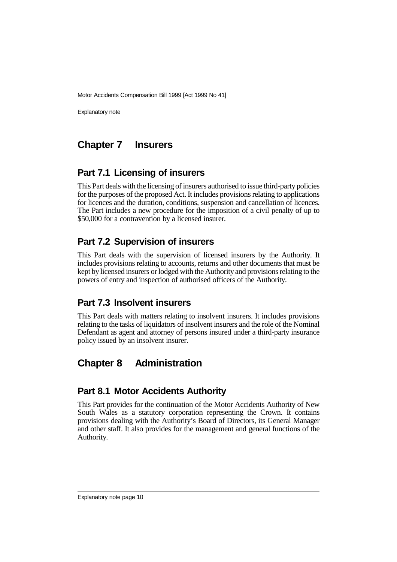Explanatory note

### **Chapter 7 Insurers**

#### **Part 7.1 Licensing of insurers**

This Part deals with the licensing of insurers authorised to issue third-party policies for the purposes of the proposed Act. It includes provisions relating to applications for licences and the duration, conditions, suspension and cancellation of licences. The Part includes a new procedure for the imposition of a civil penalty of up to \$50,000 for a contravention by a licensed insurer.

#### **Part 7.2 Supervision of insurers**

This Part deals with the supervision of licensed insurers by the Authority. It includes provisions relating to accounts, returns and other documents that must be kept by licensed insurers or lodged with the Authority and provisions relating to the powers of entry and inspection of authorised officers of the Authority.

#### **Part 7.3 Insolvent insurers**

This Part deals with matters relating to insolvent insurers. It includes provisions relating to the tasks of liquidators of insolvent insurers and the role of the Nominal Defendant as agent and attorney of persons insured under a third-party insurance policy issued by an insolvent insurer.

## **Chapter 8 Administration**

### **Part 8.1 Motor Accidents Authority**

This Part provides for the continuation of the Motor Accidents Authority of New South Wales as a statutory corporation representing the Crown. It contains provisions dealing with the Authority's Board of Directors, its General Manager and other staff. It also provides for the management and general functions of the Authority.